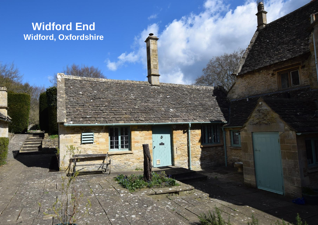# **Widford End Widford, Oxfordshire**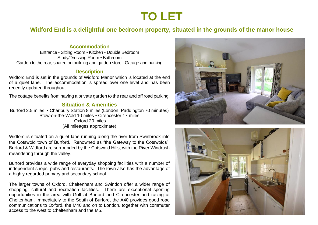# **TO LET**

**Widford End is a delightful one bedroom property, situated in the grounds of the manor house**

### **Accommodation**

Entrance • Sitting Room • Kitchen • Double Bedroom Study/Dressing Room • Bathroom Garden to the rear, shared outbuilding and garden store. Garage and parking

#### **Description**

Widford End is set in the grounds of Widford Manor which is located at the end of a quiet lane. The accommodation is spread over one level and has been recently updated throughout.

The cottage benefits from having a private garden to the rear and off road parking.

## **Situation & Amenities**

Burford 2.5 miles • Charlbury Station 8 miles (London, Paddington 70 minutes) Stow-on-the-Wold 10 miles • Cirencester 17 miles Oxford 20 miles (All mileages approximate)

Widford is situated on a quiet lane running along the river from Swinbrook into the Cotswold town of Burford. Renowned as "the Gateway to the Cotswolds", Burford & Widford are surrounded by the Cotswold Hills, with the River Windrush meandering through the valley.

Burford provides a wide range of everyday shopping facilities with a number of independent shops, pubs and restaurants. The town also has the advantage of a highly regarded primary and secondary school.

The larger towns of Oxford, Cheltenham and Swindon offer a wider range of shopping, cultural and recreation facilities. There are exceptional sporting opportunities in the area with Golf at Burford and Cirencester and racing at Cheltenham. Immediately to the South of Burford, the A40 provides good road communications to Oxford, the M40 and on to London, together with commuter access to the west to Cheltenham and the M5.



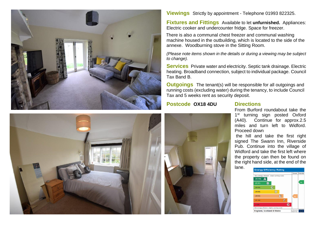



**Fixtures and Fittings** Available to let **unfurnished.** Appliances: Electric cooker and undercounter fridge. Space for freezer.

 There is also a communal chest freezer and communal washing machine housed in the outbuilding, which is located to the side of the annexe. Woodburning stove in the Sitting Room.

*(Please note items shown in the details or during a viewing may be subject to change).*

**Services** Private water and electricity. Septic tank drainage. Electric heating. Broadband connection, subject to individual package. Council Tax Band B.

**Outgoings** The tenant(s) will be responsible for all outgoings and running costs (excluding water) during the tenancy, to include Council Tax and 5 weeks rent as security deposit.

### **Postcode OX18 4DU Directions**





From Burford roundabout take the 1<sup>st</sup> turning sign posted Oxford (A40). Continue for approx.2.5 miles and turn left to Widford. Proceed down

the hill and take the first right signed The Swann Inn, Riverside Pub. Continue into the village of Widford and take the first left where the property can then be found on the right hand side, at the end of the lane.